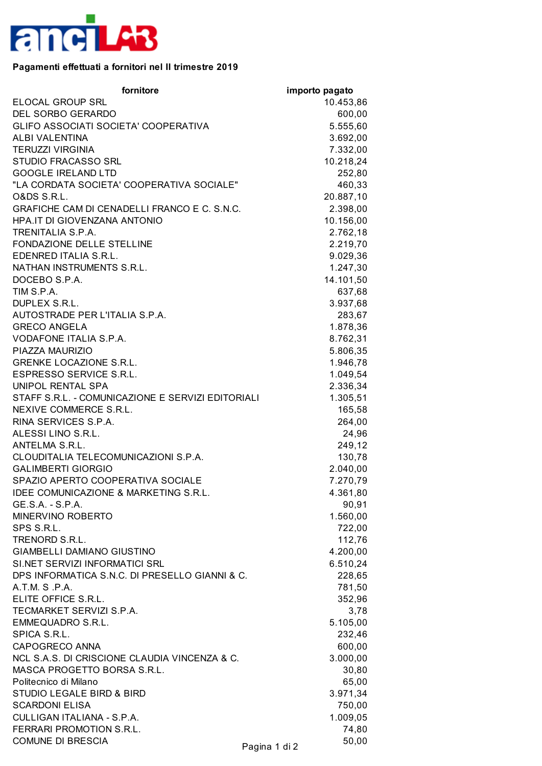

## **Pagamenti effettuati a fornitori nel II trimestre 2019**

| fornitore                                         | importo pagato |           |
|---------------------------------------------------|----------------|-----------|
| ELOCAL GROUP SRL                                  |                | 10.453,86 |
| DEL SORBO GERARDO                                 |                | 600,00    |
| GLIFO ASSOCIATI SOCIETA' COOPERATIVA              |                | 5.555,60  |
| ALBI VALENTINA                                    |                | 3.692,00  |
| <b>TERUZZI VIRGINIA</b>                           |                | 7.332,00  |
| STUDIO FRACASSO SRL                               |                | 10.218,24 |
| <b>GOOGLE IRELAND LTD</b>                         |                | 252,80    |
| "LA CORDATA SOCIETA' COOPERATIVA SOCIALE"         |                | 460,33    |
| <b>O&amp;DS S.R.L.</b>                            |                | 20.887,10 |
| GRAFICHE CAM DI CENADELLI FRANCO E C. S.N.C.      |                | 2.398,00  |
| HPA.IT DI GIOVENZANA ANTONIO                      |                | 10.156,00 |
| TRENITALIA S.P.A.                                 |                | 2.762,18  |
| FONDAZIONE DELLE STELLINE                         |                | 2.219,70  |
| EDENRED ITALIA S.R.L.                             |                | 9.029,36  |
| NATHAN INSTRUMENTS S.R.L.                         |                | 1.247,30  |
| DOCEBO S.P.A.                                     |                | 14.101,50 |
| TIM S.P.A.                                        |                | 637,68    |
| DUPLEX S.R.L.                                     |                | 3.937,68  |
| AUTOSTRADE PER L'ITALIA S.P.A.                    |                | 283,67    |
| <b>GRECO ANGELA</b>                               |                | 1.878,36  |
| VODAFONE ITALIA S.P.A.                            |                | 8.762,31  |
| PIAZZA MAURIZIO                                   |                | 5.806,35  |
| <b>GRENKE LOCAZIONE S.R.L.</b>                    |                | 1.946,78  |
| ESPRESSO SERVICE S.R.L.                           |                | 1.049,54  |
| UNIPOL RENTAL SPA                                 |                | 2.336,34  |
| STAFF S.R.L. - COMUNICAZIONE E SERVIZI EDITORIALI |                | 1.305,51  |
| NEXIVE COMMERCE S.R.L.                            |                | 165,58    |
| RINA SERVICES S.P.A.                              |                | 264,00    |
| ALESSI LINO S.R.L.                                |                | 24,96     |
| ANTELMA S.R.L.                                    |                | 249,12    |
| CLOUDITALIA TELECOMUNICAZIONI S.P.A.              |                | 130,78    |
| <b>GALIMBERTI GIORGIO</b>                         |                | 2.040,00  |
| SPAZIO APERTO COOPERATIVA SOCIALE                 |                | 7.270,79  |
| <b>IDEE COMUNICAZIONE &amp; MARKETING S.R.L</b>   |                | 4.361,80  |
| GE.S.A. - S.P.A.                                  |                | 90,91     |
| MINERVINO ROBERTO                                 |                | 1.560,00  |
| SPS S.R.L.                                        |                | 722,00    |
| TRENORD S.R.L.                                    |                | 112,76    |
| <b>GIAMBELLI DAMIANO GIUSTINO</b>                 |                | 4.200,00  |
| SI.NET SERVIZI INFORMATICI SRL                    |                | 6.510,24  |
| DPS INFORMATICA S.N.C. DI PRESELLO GIANNI & C.    |                | 228,65    |
| A.T.M. S.P.A.                                     |                | 781,50    |
| ELITE OFFICE S.R.L.                               |                | 352,96    |
| TECMARKET SERVIZI S.P.A.                          |                | 3,78      |
| <b>EMMEQUADRO S.R.L.</b>                          |                | 5.105,00  |
| SPICA S.R.L.                                      |                | 232,46    |
| CAPOGRECO ANNA                                    |                | 600,00    |
| NCL S.A.S. DI CRISCIONE CLAUDIA VINCENZA & C.     |                | 3.000,00  |
| MASCA PROGETTO BORSA S.R.L.                       |                | 30,80     |
| Politecnico di Milano                             |                | 65,00     |
| <b>STUDIO LEGALE BIRD &amp; BIRD</b>              |                | 3.971,34  |
| <b>SCARDONI ELISA</b>                             |                | 750,00    |
| CULLIGAN ITALIANA - S.P.A.                        |                | 1.009,05  |
| FERRARI PROMOTION S.R.L.                          |                | 74,80     |
| <b>COMUNE DI BRESCIA</b>                          |                | 50,00     |
|                                                   | Pagina 1 di 2  |           |